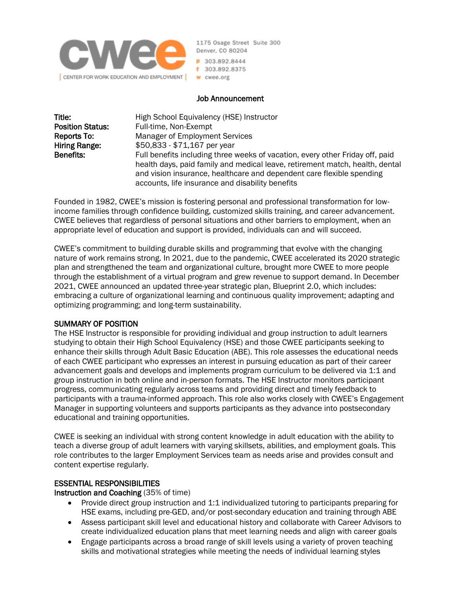

1175 Osage Street Suite 300 Denver, CO 80204 P 303.892.8444 f 303.892.8375 w cwee.org

#### Job Announcement

| Title:                  | High School Equivalency (HSE) Instructor                                      |
|-------------------------|-------------------------------------------------------------------------------|
| <b>Position Status:</b> | Full-time, Non-Exempt                                                         |
| Reports To:             | <b>Manager of Employment Services</b>                                         |
| Hiring Range:           | \$50,833 - \$71,167 per year                                                  |
| Benefits:               | Full benefits including three weeks of vacation, every other Friday off, paid |
|                         | health days, paid family and medical leave, retirement match, health, dental  |
|                         | and vision insurance, healthcare and dependent care flexible spending         |
|                         | accounts, life insurance and disability benefits                              |

Founded in 1982, CWEE's mission is fostering personal and professional transformation for lowincome families through confidence building, customized skills training, and career advancement. CWEE believes that regardless of personal situations and other barriers to employment, when an appropriate level of education and support is provided, individuals can and will succeed.

CWEE's commitment to building durable skills and programming that evolve with the changing nature of work remains strong. In 2021, due to the pandemic, CWEE accelerated its 2020 strategic plan and strengthened the team and organizational culture, brought more CWEE to more people through the establishment of a virtual program and grew revenue to support demand. In December 2021, CWEE announced an updated three-year strategic plan, Blueprint 2.0, which includes: embracing a culture of organizational learning and continuous quality improvement; adapting and optimizing programming; and long-term sustainability.

### SUMMARY OF POSITION

The HSE Instructor is responsible for providing individual and group instruction to adult learners studying to obtain their High School Equivalency (HSE) and those CWEE participants seeking to enhance their skills through Adult Basic Education (ABE). This role assesses the educational needs of each CWEE participant who expresses an interest in pursuing education as part of their career advancement goals and develops and implements program curriculum to be delivered via 1:1 and group instruction in both online and in-person formats. The HSE Instructor monitors participant progress, communicating regularly across teams and providing direct and timely feedback to participants with a trauma-informed approach. This role also works closely with CWEE's Engagement Manager in supporting volunteers and supports participants as they advance into postsecondary educational and training opportunities.

CWEE is seeking an individual with strong content knowledge in adult education with the ability to teach a diverse group of adult learners with varying skillsets, abilities, and employment goals. This role contributes to the larger Employment Services team as needs arise and provides consult and content expertise regularly.

#### ESSENTIAL RESPONSIBILITIES

Instruction and Coaching (35% of time)

- Provide direct group instruction and 1:1 individualized tutoring to participants preparing for HSE exams, including pre-GED, and/or post-secondary education and training through ABE
- Assess participant skill level and educational history and collaborate with Career Advisors to create individualized education plans that meet learning needs and align with career goals
- Engage participants across a broad range of skill levels using a variety of proven teaching skills and motivational strategies while meeting the needs of individual learning styles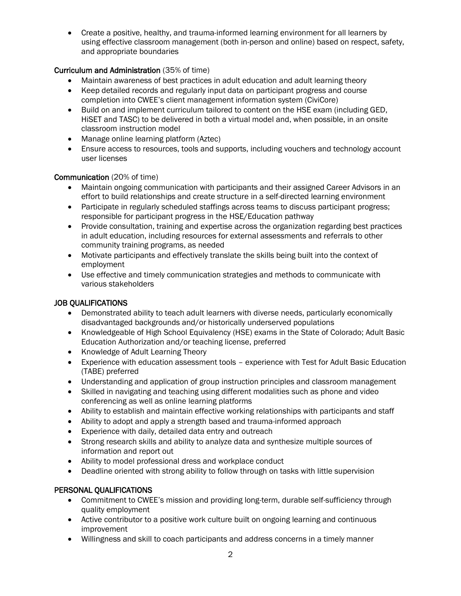• Create a positive, healthy, and trauma-informed learning environment for all learners by using effective classroom management (both in-person and online) based on respect, safety, and appropriate boundaries

### Curriculum and Administration (35% of time)

- Maintain awareness of best practices in adult education and adult learning theory
- Keep detailed records and regularly input data on participant progress and course completion into CWEE's client management information system (CiviCore)
- Build on and implement curriculum tailored to content on the HSE exam (including GED, HiSET and TASC) to be delivered in both a virtual model and, when possible, in an onsite classroom instruction model
- Manage online learning platform (Aztec)
- Ensure access to resources, tools and supports, including vouchers and technology account user licenses

### Communication (20% of time)

- Maintain ongoing communication with participants and their assigned Career Advisors in an effort to build relationships and create structure in a self-directed learning environment
- Participate in regularly scheduled staffings across teams to discuss participant progress; responsible for participant progress in the HSE/Education pathway
- Provide consultation, training and expertise across the organization regarding best practices in adult education, including resources for external assessments and referrals to other community training programs, as needed
- Motivate participants and effectively translate the skills being built into the context of employment
- Use effective and timely communication strategies and methods to communicate with various stakeholders

# JOB QUALIFICATIONS

- Demonstrated ability to teach adult learners with diverse needs, particularly economically disadvantaged backgrounds and/or historically underserved populations
- Knowledgeable of High School Equivalency (HSE) exams in the State of Colorado; Adult Basic Education Authorization and/or teaching license, preferred
- Knowledge of Adult Learning Theory
- Experience with education assessment tools experience with Test for Adult Basic Education (TABE) preferred
- Understanding and application of group instruction principles and classroom management
- Skilled in navigating and teaching using different modalities such as phone and video conferencing as well as online learning platforms
- Ability to establish and maintain effective working relationships with participants and staff
- Ability to adopt and apply a strength based and trauma-informed approach
- Experience with daily, detailed data entry and outreach
- Strong research skills and ability to analyze data and synthesize multiple sources of information and report out
- Ability to model professional dress and workplace conduct
- Deadline oriented with strong ability to follow through on tasks with little supervision

# PERSONAL QUALIFICATIONS

- Commitment to CWEE's mission and providing long-term, durable self-sufficiency through quality employment
- Active contributor to a positive work culture built on ongoing learning and continuous improvement
- Willingness and skill to coach participants and address concerns in a timely manner